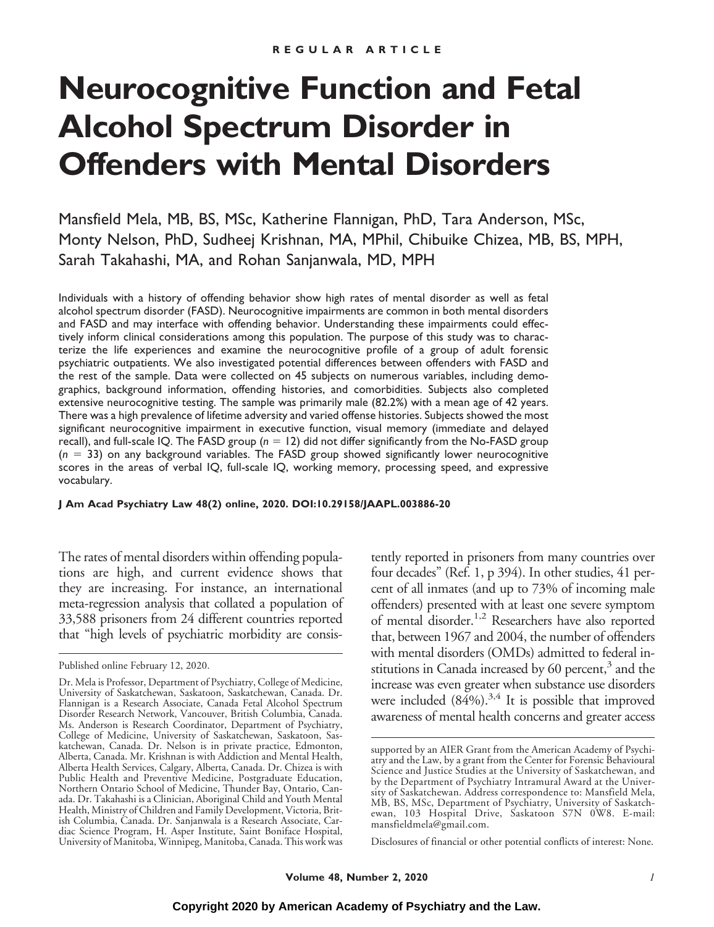# **Neurocognitive Function and Fetal Alcohol Spectrum Disorder in Offenders with Mental Disorders**

Mansfield Mela, MB, BS, MSc, Katherine Flannigan, PhD, Tara Anderson, MSc, Monty Nelson, PhD, Sudheej Krishnan, MA, MPhil, Chibuike Chizea, MB, BS, MPH, Sarah Takahashi, MA, and Rohan Sanjanwala, MD, MPH

Individuals with a history of offending behavior show high rates of mental disorder as well as fetal alcohol spectrum disorder (FASD). Neurocognitive impairments are common in both mental disorders and FASD and may interface with offending behavior. Understanding these impairments could effectively inform clinical considerations among this population. The purpose of this study was to characterize the life experiences and examine the neurocognitive profile of a group of adult forensic psychiatric outpatients. We also investigated potential differences between offenders with FASD and the rest of the sample. Data were collected on 45 subjects on numerous variables, including demographics, background information, offending histories, and comorbidities. Subjects also completed extensive neurocognitive testing. The sample was primarily male (82.2%) with a mean age of 42 years. There was a high prevalence of lifetime adversity and varied offense histories. Subjects showed the most significant neurocognitive impairment in executive function, visual memory (immediate and delayed recall), and full-scale IQ. The FASD group ( $n=12$ ) did not differ significantly from the No-FASD group ( $n = 33$ ) on any background variables. The FASD group showed significantly lower neurocognitive scores in the areas of verbal IQ, full-scale IQ, working memory, processing speed, and expressive vocabulary.

**J Am Acad Psychiatry Law 48(2) online, 2020. DOI:10.29158/JAAPL.003886-20**

The rates of mental disorders within offending populations are high, and current evidence shows that they are increasing. For instance, an international meta-regression analysis that collated a population of 33,588 prisoners from 24 different countries reported that "high levels of psychiatric morbidity are consis-

tently reported in prisoners from many countries over four decades" (Ref. 1, p 394). In other studies, 41 percent of all inmates (and up to 73% of incoming male offenders) presented with at least one severe symptom of mental disorder.1,2 Researchers have also reported that, between 1967 and 2004, the number of offenders with mental disorders (OMDs) admitted to federal institutions in Canada increased by 60 percent, $3$  and the increase was even greater when substance use disorders were included  $(84\%)$ .<sup>3,4</sup> It is possible that improved awareness of mental health concerns and greater access

Disclosures of financial or other potential conflicts of interest: None.

Published online February 12, 2020.

Dr. Mela is Professor, Department of Psychiatry, College of Medicine, University of Saskatchewan, Saskatoon, Saskatchewan, Canada. Dr. Flannigan is a Research Associate, Canada Fetal Alcohol Spectrum Disorder Research Network, Vancouver, British Columbia, Canada. Ms. Anderson is Research Coordinator, Department of Psychiatry, College of Medicine, University of Saskatchewan, Saskatoon, Saskatchewan, Canada. Dr. Nelson is in private practice, Edmonton, Alberta, Canada. Mr. Krishnan is with Addiction and Mental Health, Alberta Health Services, Calgary, Alberta, Canada. Dr. Chizea is with Public Health and Preventive Medicine, Postgraduate Education, Northern Ontario School of Medicine, Thunder Bay, Ontario, Canada. Dr. Takahashi is a Clinician, Aboriginal Child and Youth Mental Health, Ministry of Children and Family Development, Victoria, British Columbia, Canada. Dr. Sanjanwala is a Research Associate, Cardiac Science Program, H. Asper Institute, Saint Boniface Hospital, University of Manitoba, Winnipeg, Manitoba, Canada. This work was

supported by an AIER Grant from the American Academy of Psychiatry and the Law, by a grant from the Center for Forensic Behavioural Science and Justice Studies at the University of Saskatchewan, and by the Department of Psychiatry Intramural Award at the University of Saskatchewan. Address correspondence to: Mansfield Mela, MB, BS, MSc, Department of Psychiatry, University of Saskatchewan, 103 Hospital Drive, Saskatoon S7N 0W8. E-mail: mansfieldmela@gmail.com.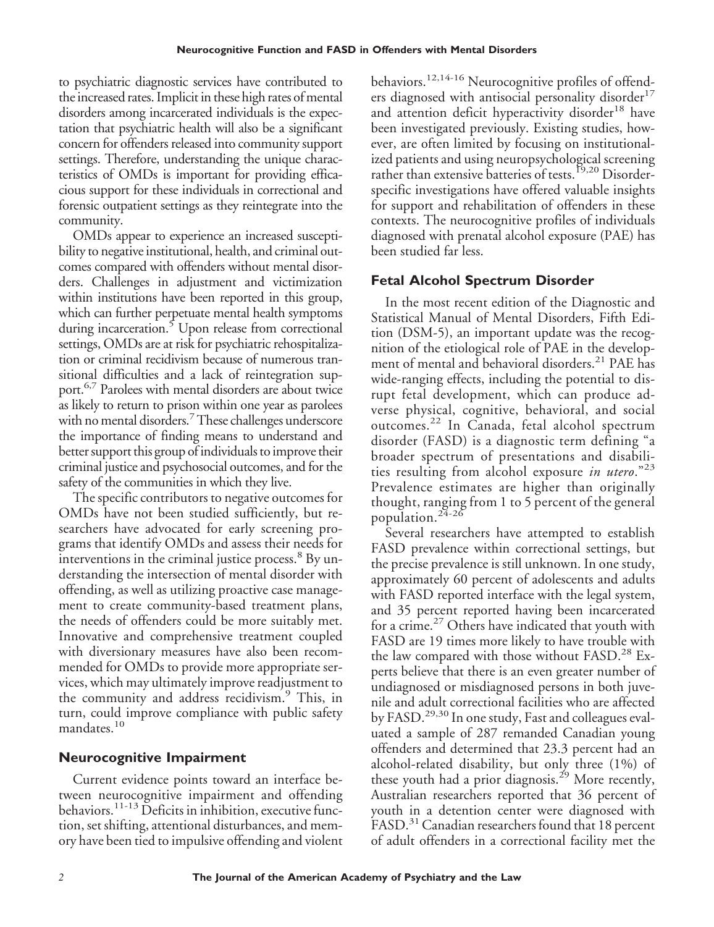to psychiatric diagnostic services have contributed to the increased rates. Implicit in these high rates of mental disorders among incarcerated individuals is the expectation that psychiatric health will also be a significant concern for offenders released into community support settings. Therefore, understanding the unique characteristics of OMDs is important for providing efficacious support for these individuals in correctional and forensic outpatient settings as they reintegrate into the community.

OMDs appear to experience an increased susceptibility to negative institutional, health, and criminal outcomes compared with offenders without mental disorders. Challenges in adjustment and victimization within institutions have been reported in this group, which can further perpetuate mental health symptoms during incarceration.<sup>5</sup> Upon release from correctional settings, OMDs are at risk for psychiatric rehospitalization or criminal recidivism because of numerous transitional difficulties and a lack of reintegration support.6,7 Parolees with mental disorders are about twice as likely to return to prison within one year as parolees with no mental disorders.<sup>7</sup> These challenges underscore the importance of finding means to understand and better support this group of individuals to improve their criminal justice and psychosocial outcomes, and for the safety of the communities in which they live.

The specific contributors to negative outcomes for OMDs have not been studied sufficiently, but researchers have advocated for early screening programs that identify OMDs and assess their needs for interventions in the criminal justice process.<sup>8</sup> By understanding the intersection of mental disorder with offending, as well as utilizing proactive case management to create community-based treatment plans, the needs of offenders could be more suitably met. Innovative and comprehensive treatment coupled with diversionary measures have also been recommended for OMDs to provide more appropriate services, which may ultimately improve readjustment to the community and address recidivism.<sup>9</sup> This, in turn, could improve compliance with public safety mandates.<sup>10</sup>

# **Neurocognitive Impairment**

Current evidence points toward an interface between neurocognitive impairment and offending behaviors.<sup>11-13</sup> Deficits in inhibition, executive function, set shifting, attentional disturbances, and memory have been tied to impulsive offending and violent behaviors.<sup>12,14-16</sup> Neurocognitive profiles of offenders diagnosed with antisocial personality disorder<sup>17</sup> and attention deficit hyperactivity disorder<sup>18</sup> have been investigated previously. Existing studies, however, are often limited by focusing on institutionalized patients and using neuropsychological screening rather than extensive batteries of tests.<sup>19,20</sup> Disorderspecific investigations have offered valuable insights for support and rehabilitation of offenders in these contexts. The neurocognitive profiles of individuals diagnosed with prenatal alcohol exposure (PAE) has been studied far less.

# **Fetal Alcohol Spectrum Disorder**

In the most recent edition of the Diagnostic and Statistical Manual of Mental Disorders, Fifth Edition (DSM-5), an important update was the recognition of the etiological role of PAE in the development of mental and behavioral disorders.<sup>21</sup> PAE has wide-ranging effects, including the potential to disrupt fetal development, which can produce adverse physical, cognitive, behavioral, and social outcomes.<sup>22</sup> In Canada, fetal alcohol spectrum disorder (FASD) is a diagnostic term defining "a broader spectrum of presentations and disabilities resulting from alcohol exposure *in utero*."<sup>23</sup> Prevalence estimates are higher than originally thought, ranging from 1 to 5 percent of the general population.<sup>24-26</sup>

Several researchers have attempted to establish FASD prevalence within correctional settings, but the precise prevalence is still unknown. In one study, approximately 60 percent of adolescents and adults with FASD reported interface with the legal system, and 35 percent reported having been incarcerated for a crime. $^{27}$  Others have indicated that youth with FASD are 19 times more likely to have trouble with the law compared with those without FASD.<sup>28</sup> Experts believe that there is an even greater number of undiagnosed or misdiagnosed persons in both juvenile and adult correctional facilities who are affected by FASD.<sup>29,30</sup> In one study, Fast and colleagues evaluated a sample of 287 remanded Canadian young offenders and determined that 23.3 percent had an alcohol-related disability, but only three (1%) of these youth had a prior diagnosis.<sup>29</sup> More recently, Australian researchers reported that 36 percent of youth in a detention center were diagnosed with FASD.<sup>31</sup> Canadian researchers found that 18 percent of adult offenders in a correctional facility met the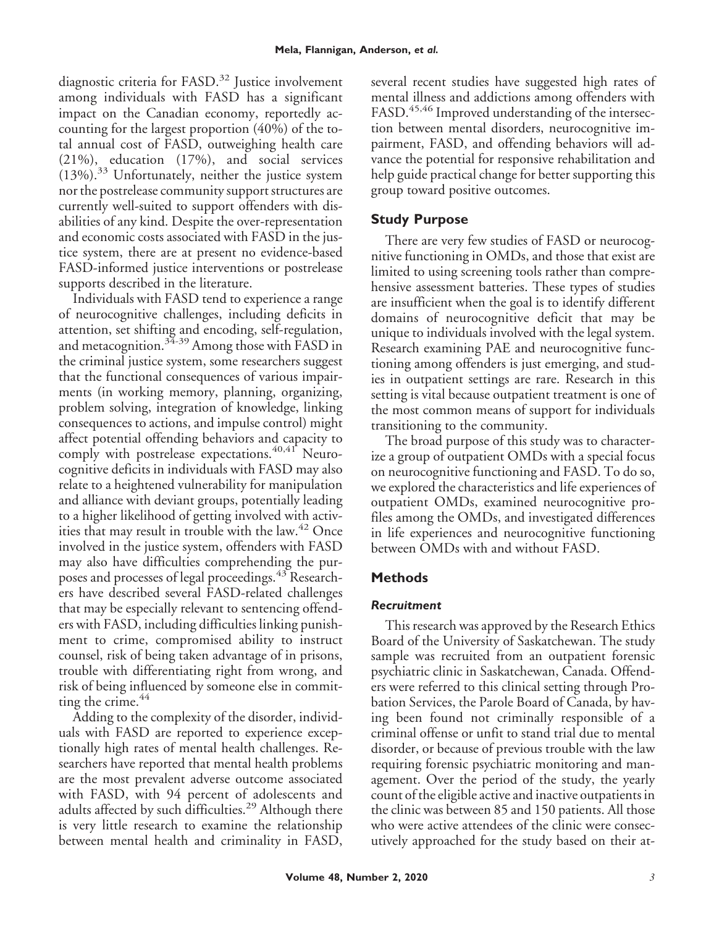diagnostic criteria for  $FASD$ .<sup>32</sup> Justice involvement among individuals with FASD has a significant impact on the Canadian economy, reportedly accounting for the largest proportion (40%) of the total annual cost of FASD, outweighing health care (21%), education (17%), and social services  $(13\%)$ .<sup>33</sup> Unfortunately, neither the justice system nor the postrelease community support structures are currently well-suited to support offenders with disabilities of any kind. Despite the over-representation and economic costs associated with FASD in the justice system, there are at present no evidence-based FASD-informed justice interventions or postrelease supports described in the literature.

Individuals with FASD tend to experience a range of neurocognitive challenges, including deficits in attention, set shifting and encoding, self-regulation, and metacognition.<sup>34-39</sup> Among those with FASD in the criminal justice system, some researchers suggest that the functional consequences of various impairments (in working memory, planning, organizing, problem solving, integration of knowledge, linking consequences to actions, and impulse control) might affect potential offending behaviors and capacity to comply with postrelease expectations.<sup>40,41</sup> Neurocognitive deficits in individuals with FASD may also relate to a heightened vulnerability for manipulation and alliance with deviant groups, potentially leading to a higher likelihood of getting involved with activities that may result in trouble with the law. $42$  Once involved in the justice system, offenders with FASD may also have difficulties comprehending the purposes and processes of legal proceedings.<sup>43</sup> Researchers have described several FASD-related challenges that may be especially relevant to sentencing offenders with FASD, including difficulties linking punishment to crime, compromised ability to instruct counsel, risk of being taken advantage of in prisons, trouble with differentiating right from wrong, and risk of being influenced by someone else in committing the crime. $44$ 

Adding to the complexity of the disorder, individuals with FASD are reported to experience exceptionally high rates of mental health challenges. Researchers have reported that mental health problems are the most prevalent adverse outcome associated with FASD, with 94 percent of adolescents and adults affected by such difficulties.<sup>29</sup> Although there is very little research to examine the relationship between mental health and criminality in FASD, several recent studies have suggested high rates of mental illness and addictions among offenders with FASD.<sup>45,46</sup> Improved understanding of the intersection between mental disorders, neurocognitive impairment, FASD, and offending behaviors will advance the potential for responsive rehabilitation and help guide practical change for better supporting this group toward positive outcomes.

# **Study Purpose**

There are very few studies of FASD or neurocognitive functioning in OMDs, and those that exist are limited to using screening tools rather than comprehensive assessment batteries. These types of studies are insufficient when the goal is to identify different domains of neurocognitive deficit that may be unique to individuals involved with the legal system. Research examining PAE and neurocognitive functioning among offenders is just emerging, and studies in outpatient settings are rare. Research in this setting is vital because outpatient treatment is one of the most common means of support for individuals transitioning to the community.

The broad purpose of this study was to characterize a group of outpatient OMDs with a special focus on neurocognitive functioning and FASD. To do so, we explored the characteristics and life experiences of outpatient OMDs, examined neurocognitive profiles among the OMDs, and investigated differences in life experiences and neurocognitive functioning between OMDs with and without FASD.

# **Methods**

# *Recruitment*

This research was approved by the Research Ethics Board of the University of Saskatchewan. The study sample was recruited from an outpatient forensic psychiatric clinic in Saskatchewan, Canada. Offenders were referred to this clinical setting through Probation Services, the Parole Board of Canada, by having been found not criminally responsible of a criminal offense or unfit to stand trial due to mental disorder, or because of previous trouble with the law requiring forensic psychiatric monitoring and management. Over the period of the study, the yearly count of the eligible active and inactive outpatients in the clinic was between 85 and 150 patients. All those who were active attendees of the clinic were consecutively approached for the study based on their at-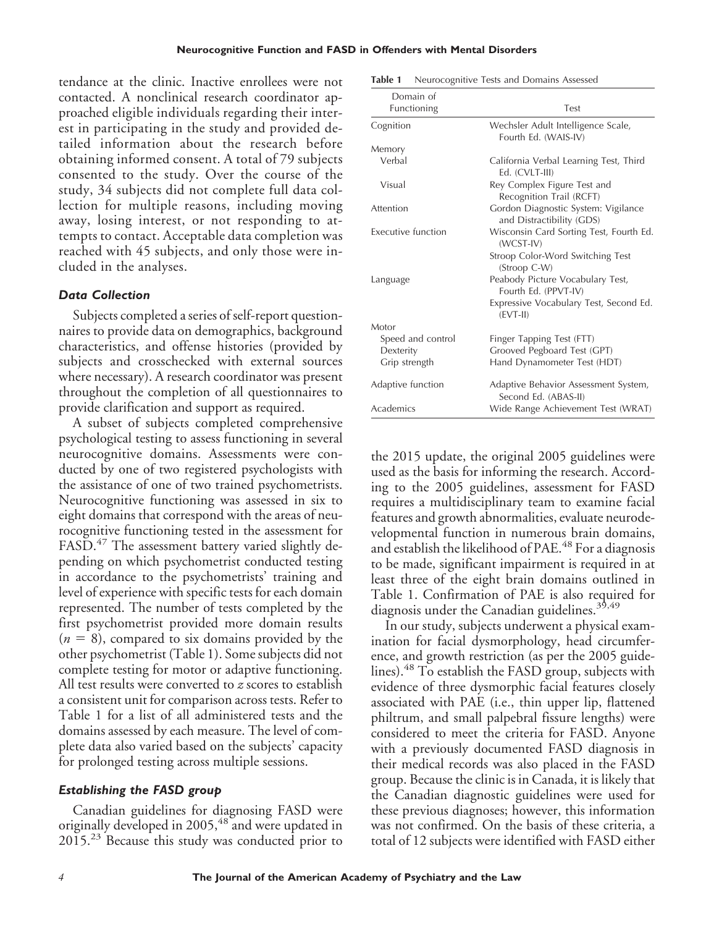tendance at the clinic. Inactive enrollees were not contacted. A nonclinical research coordinator approached eligible individuals regarding their interest in participating in the study and provided detailed information about the research before obtaining informed consent. A total of 79 subjects consented to the study. Over the course of the study, 34 subjects did not complete full data collection for multiple reasons, including moving away, losing interest, or not responding to attempts to contact. Acceptable data completion was reached with 45 subjects, and only those were included in the analyses.

## *Data Collection*

Subjects completed a series of self-report questionnaires to provide data on demographics, background characteristics, and offense histories (provided by subjects and crosschecked with external sources where necessary). A research coordinator was present throughout the completion of all questionnaires to provide clarification and support as required.

A subset of subjects completed comprehensive psychological testing to assess functioning in several neurocognitive domains. Assessments were conducted by one of two registered psychologists with the assistance of one of two trained psychometrists. Neurocognitive functioning was assessed in six to eight domains that correspond with the areas of neurocognitive functioning tested in the assessment for FASD.<sup>47</sup> The assessment battery varied slightly depending on which psychometrist conducted testing in accordance to the psychometrists' training and level of experience with specific tests for each domain represented. The number of tests completed by the first psychometrist provided more domain results  $(n = 8)$ , compared to six domains provided by the other psychometrist (Table 1). Some subjects did not complete testing for motor or adaptive functioning. All test results were converted to *z* scores to establish a consistent unit for comparison across tests. Refer to Table 1 for a list of all administered tests and the domains assessed by each measure. The level of complete data also varied based on the subjects' capacity for prolonged testing across multiple sessions.

## *Establishing the FASD group*

Canadian guidelines for diagnosing FASD were originally developed in 2005,<sup>48</sup> and were updated in 2015.<sup>23</sup> Because this study was conducted prior to

| Table 1 | Neurocognitive Tests and Domains Assessed |  |  |  |
|---------|-------------------------------------------|--|--|--|
|---------|-------------------------------------------|--|--|--|

| Domain of          |                                                                  |
|--------------------|------------------------------------------------------------------|
| Functioning        | Test                                                             |
| Cognition          | Wechsler Adult Intelligence Scale,<br>Fourth Ed. (WAIS-IV)       |
| Memory             |                                                                  |
| Verbal             | California Verbal Learning Test, Third<br>Ed. (CVLT-III)         |
| Visual             | Rey Complex Figure Test and<br>Recognition Trail (RCFT)          |
| Attention          | Gordon Diagnostic System: Vigilance<br>and Distractibility (GDS) |
| Executive function | Wisconsin Card Sorting Test, Fourth Ed.<br>(WCST-IV)             |
|                    | Stroop Color-Word Switching Test<br>(Stroop C-W)                 |
| Language           | Peabody Picture Vocabulary Test,<br>Fourth Ed. (PPVT-IV)         |
|                    | Expressive Vocabulary Test, Second Ed.<br>$(EVT-II)$             |
| Motor              |                                                                  |
| Speed and control  | Finger Tapping Test (FTT)                                        |
| Dexterity          | Grooved Pegboard Test (GPT)                                      |
| Grip strength      | Hand Dynamometer Test (HDT)                                      |
| Adaptive function  | Adaptive Behavior Assessment System,<br>Second Ed. (ABAS-II)     |
| Academics          | Wide Range Achievement Test (WRAT)                               |

the 2015 update, the original 2005 guidelines were used as the basis for informing the research. According to the 2005 guidelines, assessment for FASD requires a multidisciplinary team to examine facial features and growth abnormalities, evaluate neurodevelopmental function in numerous brain domains, and establish the likelihood of PAE.<sup>48</sup> For a diagnosis to be made, significant impairment is required in at least three of the eight brain domains outlined in Table 1. Confirmation of PAE is also required for diagnosis under the Canadian guidelines.<sup>35,49</sup>

In our study, subjects underwent a physical examination for facial dysmorphology, head circumference, and growth restriction (as per the 2005 guidelines).<sup>48</sup> To establish the FASD group, subjects with evidence of three dysmorphic facial features closely associated with PAE (i.e., thin upper lip, flattened philtrum, and small palpebral fissure lengths) were considered to meet the criteria for FASD. Anyone with a previously documented FASD diagnosis in their medical records was also placed in the FASD group. Because the clinic is in Canada, it is likely that the Canadian diagnostic guidelines were used for these previous diagnoses; however, this information was not confirmed. On the basis of these criteria, a total of 12 subjects were identified with FASD either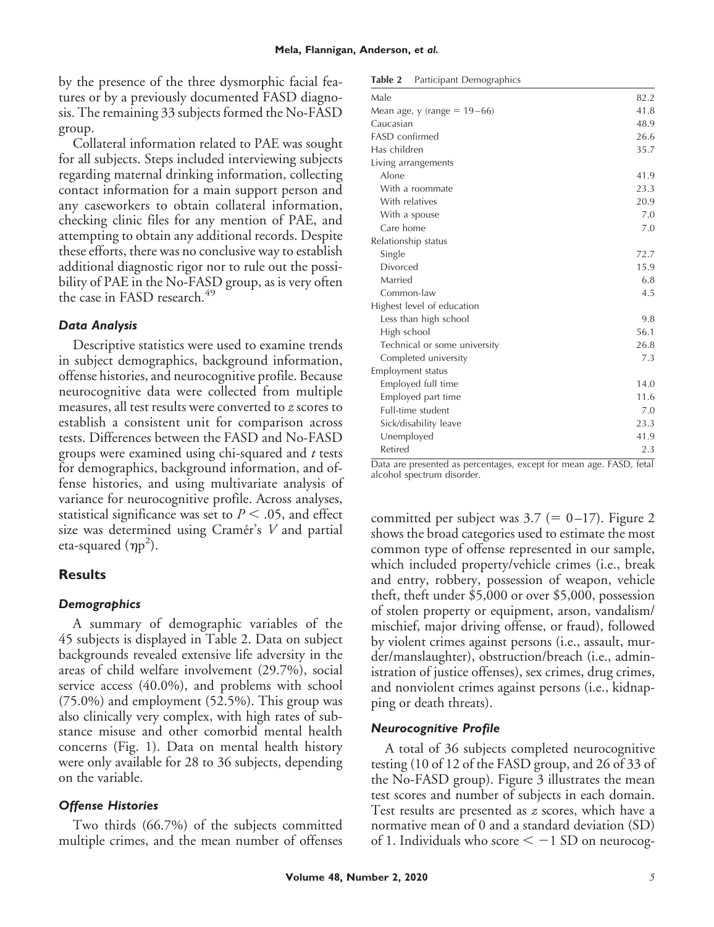by the presence of the three dysmorphic facial features or by a previously documented FASD diagnosis. The remaining 33 subjects formed the No-FASD group.

Collateral information related to PAE was sought for all subjects. Steps included interviewing subjects regarding maternal drinking information, collecting contact information for a main support person and any caseworkers to obtain collateral information, checking clinic files for any mention of PAE, and attempting to obtain any additional records. Despite these efforts, there was no conclusive way to establish additional diagnostic rigor nor to rule out the possibility of PAE in the No-FASD group, as is very often the case in FASD research.<sup>49</sup>

#### *Data Analysis*

Descriptive statistics were used to examine trends in subject demographics, background information, offense histories, and neurocognitive profile. Because neurocognitive data were collected from multiple measures, all test results were converted to *z* scores to establish a consistent unit for comparison across tests. Differences between the FASD and No-FASD groups were examined using chi-squared and *t* tests for demographics, background information, and offense histories, and using multivariate analysis of variance for neurocognitive profile. Across analyses, statistical significance was set to  $P < .05$ , and effect size was determined using Cramér's *V* and partial eta-squared  $(\eta p^2)$ .

## **Results**

## *Demographics*

A summary of demographic variables of the 45 subjects is displayed in Table 2. Data on subject backgrounds revealed extensive life adversity in the areas of child welfare involvement (29.7%), social service access (40.0%), and problems with school (75.0%) and employment (52.5%). This group was also clinically very complex, with high rates of substance misuse and other comorbid mental health concerns (Fig. 1). Data on mental health history were only available for 28 to 36 subjects, depending on the variable.

## *Offense Histories*

Two thirds (66.7%) of the subjects committed multiple crimes, and the mean number of offenses

| Table 2 | Participant Demographics |
|---------|--------------------------|
|---------|--------------------------|

| Male                           | 82.2 |
|--------------------------------|------|
| Mean age, y (range = $19-66$ ) | 41.8 |
| Caucasian                      | 48.9 |
| <b>FASD</b> confirmed          | 26.6 |
| Has children                   | 35.7 |
| Living arrangements            |      |
| Alone                          | 41.9 |
| With a roommate                | 23.3 |
| With relatives                 | 20.9 |
| With a spouse                  | 7.0  |
| Care home                      | 7.0  |
| Relationship status            |      |
| Single                         | 72.7 |
| Divorced                       | 15.9 |
| Married                        | 6.8  |
| Common-law                     | 4.5  |
| Highest level of education     |      |
| Less than high school          | 9.8  |
| High school                    | 56.1 |
| Technical or some university   | 26.8 |
| Completed university           | 7.3  |
| Employment status              |      |
| Employed full time             | 14.0 |
| Employed part time             | 11.6 |
| Full-time student              | 7.0  |
| Sick/disability leave          | 23.3 |
| Unemployed                     | 41.9 |
| Retired                        | 2.3  |
|                                |      |

Data are presented as percentages, except for mean age. FASD, fetal alcohol spectrum disorder.

committed per subject was  $3.7 (= 0-17)$ . Figure 2 shows the broad categories used to estimate the most common type of offense represented in our sample, which included property/vehicle crimes (i.e., break and entry, robbery, possession of weapon, vehicle theft, theft under \$5,000 or over \$5,000, possession of stolen property or equipment, arson, vandalism/ mischief, major driving offense, or fraud), followed by violent crimes against persons (i.e., assault, murder/manslaughter), obstruction/breach (i.e., administration of justice offenses), sex crimes, drug crimes, and nonviolent crimes against persons (i.e., kidnapping or death threats).

#### *Neurocognitive Profile*

A total of 36 subjects completed neurocognitive testing (10 of 12 of the FASD group, and 26 of 33 of the No-FASD group). Figure 3 illustrates the mean test scores and number of subjects in each domain. Test results are presented as *z* scores, which have a normative mean of 0 and a standard deviation (SD) of 1. Individuals who score  $\leq -1$  SD on neurocog-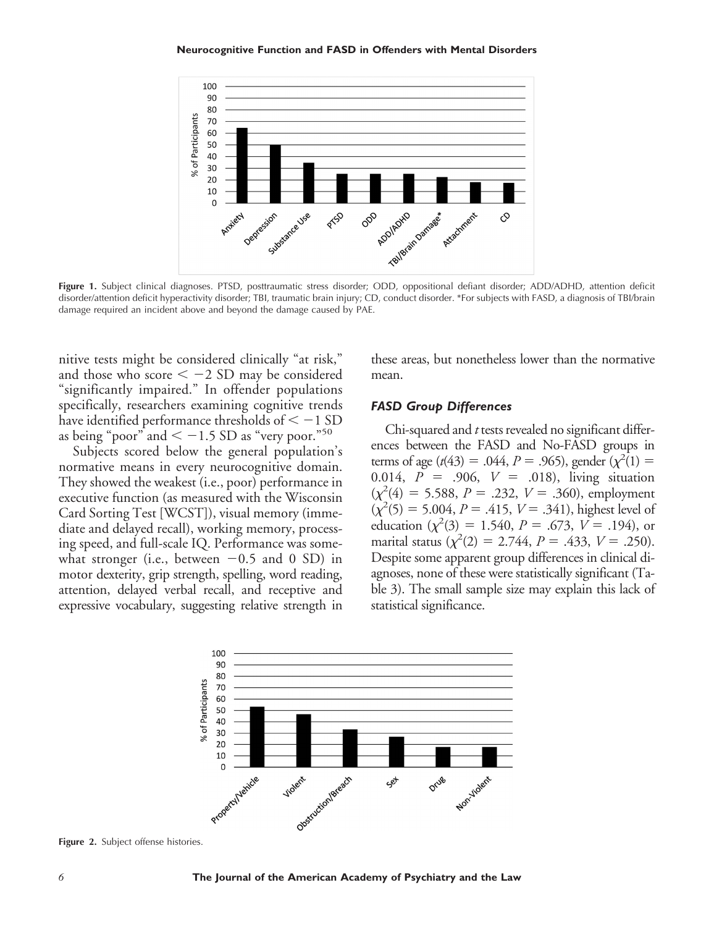

Figure 1. Subject clinical diagnoses. PTSD, posttraumatic stress disorder; ODD, oppositional defiant disorder; ADD/ADHD, attention deficit disorder/attention deficit hyperactivity disorder; TBI, traumatic brain injury; CD, conduct disorder. \*For subjects with FASD, a diagnosis of TBI/brain damage required an incident above and beyond the damage caused by PAE.

nitive tests might be considered clinically "at risk," and those who score  $\lt -2$  SD may be considered "significantly impaired." In offender populations specifically, researchers examining cognitive trends have identified performance thresholds of  $\leq -1$  SD as being "poor" and  $\lt -1.5$  SD as "very poor."<sup>50</sup>

Subjects scored below the general population's normative means in every neurocognitive domain. They showed the weakest (i.e., poor) performance in executive function (as measured with the Wisconsin Card Sorting Test [WCST]), visual memory (immediate and delayed recall), working memory, processing speed, and full-scale IQ. Performance was somewhat stronger (i.e., between  $-0.5$  and 0 SD) in motor dexterity, grip strength, spelling, word reading, attention, delayed verbal recall, and receptive and expressive vocabulary, suggesting relative strength in these areas, but nonetheless lower than the normative mean.

#### *FASD Group Differences*

Chi-squared and *t* tests revealed no significant differences between the FASD and No-FASD groups in terms of age ( $t(43) = .044$ ,  $P = .965$ ), gender ( $\chi^2(1) =$ 0.014,  $P = .906, V = .018$ , living situation  $(\chi^2(4) = 5.588, P = .232, V = .360)$ , employment  $(\chi^2(5) = 5.004, P = .415, V = .341)$ , highest level of education  $(\chi^2(3) = 1.540, P = .673, V = .194)$ , or marital status  $(\chi^2(2) = 2.744, P = .433, V = .250)$ . Despite some apparent group differences in clinical diagnoses, none of these were statistically significant (Table 3). The small sample size may explain this lack of statistical significance.



**Figure 2.** Subject offense histories.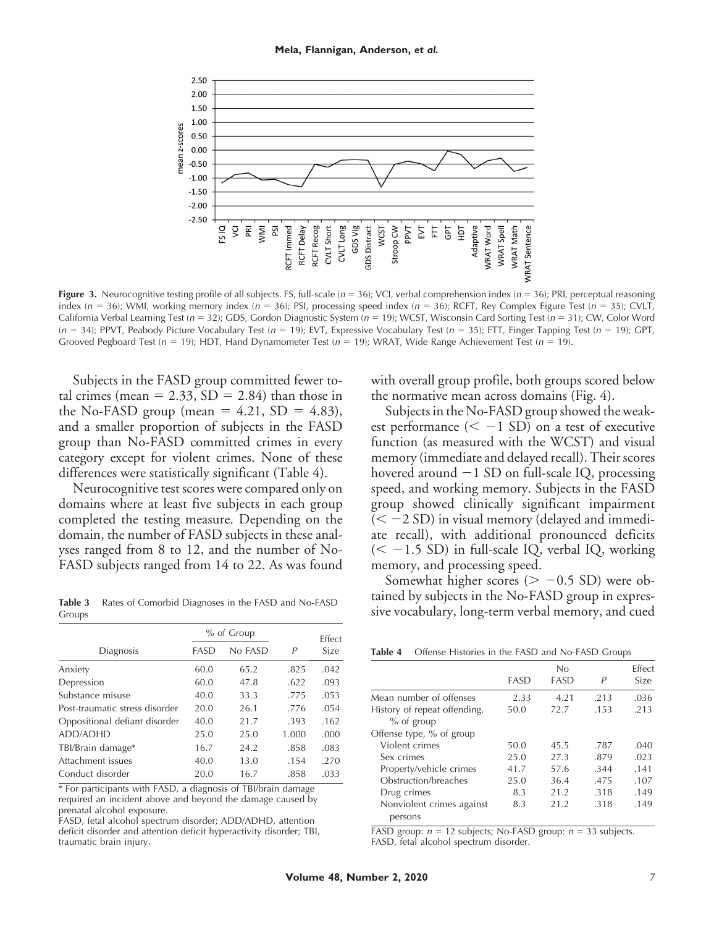

**Figure 3.** Neurocognitive testing profile of all subjects. FS, full-scale (*n* = 36); VCI, verbal comprehension index (*n* = 36); PRI, perceptual reasoning index (*n* = 36); WMI, working memory index (*n* = 36); PSI, processing speed index (*n* = 36); RCFT, Rey Complex Figure Test (*n* = 35); CVLT, California Verbal Learning Test (*n* = 32); GDS, Gordon Diagnostic System (*n* = 19); WCST, Wisconsin Card Sorting Test (*n* = 31); CW, Color Word (*n* = 34); PPVT, Peabody Picture Vocabulary Test (*n* = 19); EVT, Expressive Vocabulary Test (*n* = 35); FTT, Finger Tapping Test (*n* = 19); GPT, Grooved Pegboard Test (*n* = 19); HDT, Hand Dynamometer Test (*n* = 19); WRAT, Wide Range Achievement Test (*n* = 19).

Subjects in the FASD group committed fewer total crimes (mean  $= 2.33$ , SD  $= 2.84$ ) than those in the No-FASD group (mean  $= 4.21$ , SD  $= 4.83$ ), and a smaller proportion of subjects in the FASD group than No-FASD committed crimes in every category except for violent crimes. None of these differences were statistically significant (Table 4).

Neurocognitive test scores were compared only on domains where at least five subjects in each group completed the testing measure. Depending on the domain, the number of FASD subjects in these analyses ranged from 8 to 12, and the number of No-FASD subjects ranged from 14 to 22. As was found

**Table 3** Rates of Comorbid Diagnoses in the FASD and No-FASD Groups

|                                |      | $%$ of Group |       | <b>Effect</b> |
|--------------------------------|------|--------------|-------|---------------|
| Diagnosis                      | FASD | No FASD      | P     | Size          |
| Anxiety                        | 60.0 | 65.2         | .825  | .042          |
| Depression                     | 60.0 | 47.8         | .622  | .093          |
| Substance misuse               | 40.0 | 33.3         | .775  | .053          |
| Post-traumatic stress disorder | 20.0 | 26.1         | .776  | .054          |
| Oppositional defiant disorder  | 40.0 | 21.7         | .393  | .162          |
| ADD/ADHD                       | 25.0 | 25.0         | 1.000 | .000          |
| TBI/Brain damage*              | 16.7 | 24.2         | .858  | .083          |
| Attachment issues              | 40.0 | 13.0         | .154  | .270          |
| Conduct disorder               | 20.0 | 16.7         | .858  | .033          |

\* For participants with FASD, a diagnosis of TBI/brain damage required an incident above and beyond the damage caused by prenatal alcohol exposure.

FASD, fetal alcohol spectrum disorder; ADD/ADHD, attention deficit disorder and attention deficit hyperactivity disorder; TBI, traumatic brain injury.

with overall group profile, both groups scored below the normative mean across domains (Fig. 4).

Subjects in the No-FASD group showed the weakest performance  $(< -1$  SD) on a test of executive function (as measured with the WCST) and visual memory (immediate and delayed recall). Their scores hovered around  $-1$  SD on full-scale IQ, processing speed, and working memory. Subjects in the FASD group showed clinically significant impairment  $(< -2 SD$ ) in visual memory (delayed and immediate recall), with additional pronounced deficits  $(< -1.5$  SD) in full-scale IQ, verbal IQ, working memory, and processing speed.

Somewhat higher scores ( $> -0.5$  SD) were obtained by subjects in the No-FASD group in expressive vocabulary, long-term verbal memory, and cued

|  |  | Table 4 |  |  |  |  |  | Offense Histories in the FASD and No-FASD Groups |  |
|--|--|---------|--|--|--|--|--|--------------------------------------------------|--|
|--|--|---------|--|--|--|--|--|--------------------------------------------------|--|

|                              |      | No   |      | <b>Effect</b> |
|------------------------------|------|------|------|---------------|
|                              | FASD | FASD | Р    | Size          |
| Mean number of offenses      | 2.33 | 4.21 | .213 | .036          |
| History of repeat offending, | 50.0 | 72.7 | .153 | .213          |
| $%$ of group                 |      |      |      |               |
| Offense type, % of group     |      |      |      |               |
| Violent crimes               | 50.0 | 45.5 | .787 | .040          |
| Sex crimes                   | 25.0 | 27.3 | .879 | .023          |
| Property/vehicle crimes      | 41.7 | 57.6 | .344 | .141          |
| Obstruction/breaches         | 25.0 | 36.4 | .475 | .107          |
| Drug crimes                  | 8.3  | 21.2 | .318 | .149          |
| Nonviolent crimes against    | 8.3  | 21.2 | .318 | .149          |
| persons                      |      |      |      |               |

FASD group:  $n = 12$  subjects; No-FASD group:  $n = 33$  subjects. FASD, fetal alcohol spectrum disorder.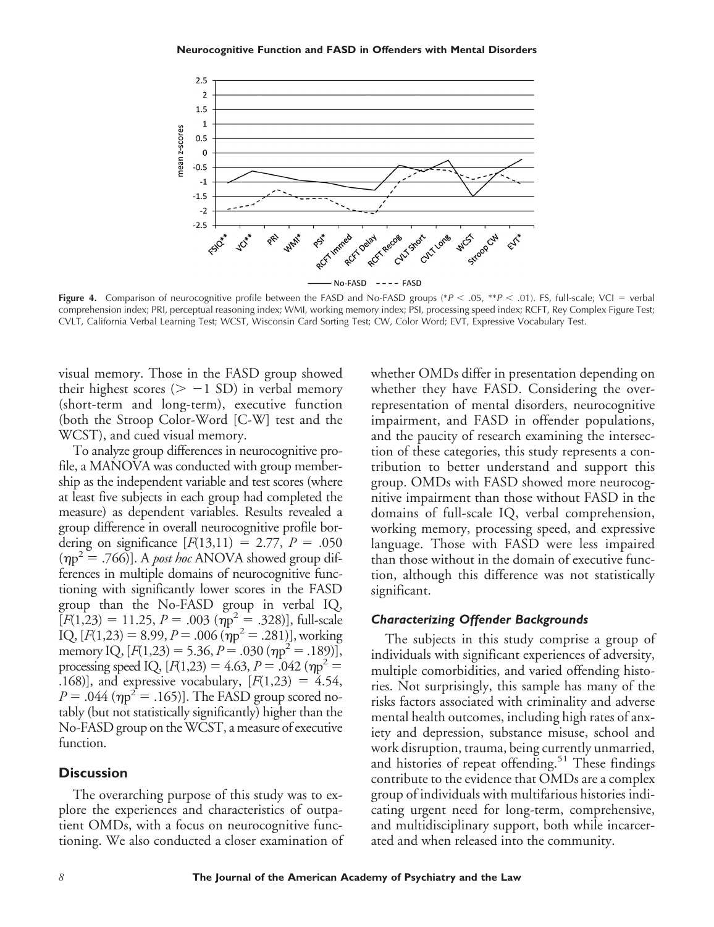

**Figure 4.** Comparison of neurocognitive profile between the FASD and No-FASD groups (\* $P < .05$ , \*\* $P < .01$ ). FS, full-scale; VCI = verbal comprehension index; PRI, perceptual reasoning index; WMI, working memory index; PSI, processing speed index; RCFT, Rey Complex Figure Test; CVLT, California Verbal Learning Test; WCST, Wisconsin Card Sorting Test; CW, Color Word; EVT, Expressive Vocabulary Test.

visual memory. Those in the FASD group showed their highest scores ( $> -1$  SD) in verbal memory (short-term and long-term), executive function (both the Stroop Color-Word [C-W] test and the WCST), and cued visual memory.

To analyze group differences in neurocognitive profile, a MANOVA was conducted with group membership as the independent variable and test scores (where at least five subjects in each group had completed the measure) as dependent variables. Results revealed a group difference in overall neurocognitive profile bordering on significance  $[F(13,11) = 2.77, P = .050]$  $(\eta p^2 = .766)$ ]. A *post hoc* ANOVA showed group differences in multiple domains of neurocognitive functioning with significantly lower scores in the FASD group than the No-FASD group in verbal IQ,  $[F(1,23) = 11.25, P = .003 \ (\eta p^2 = .328)],$  full-scale  $IQ, [F(1,23) = 8.99, P = .006 (np<sup>2</sup> = .281)],$  working memory IQ,  $[F(1,23) = 5.36, P = .030 (np<sup>2</sup> = .189)],$ processing speed IQ,  $[F(1,23) = 4.63, P = .042$  ( $\eta p^2 =$ .168)], and expressive vocabulary,  $[F(1,23) = 4.54,$  $P = .044$  ( $\eta p^2 = .165$ )]. The FASD group scored notably (but not statistically significantly) higher than the No-FASD group on theWCST, a measure of executive function.

#### **Discussion**

The overarching purpose of this study was to explore the experiences and characteristics of outpatient OMDs, with a focus on neurocognitive functioning. We also conducted a closer examination of whether OMDs differ in presentation depending on whether they have FASD. Considering the overrepresentation of mental disorders, neurocognitive impairment, and FASD in offender populations, and the paucity of research examining the intersection of these categories, this study represents a contribution to better understand and support this group. OMDs with FASD showed more neurocognitive impairment than those without FASD in the domains of full-scale IQ, verbal comprehension, working memory, processing speed, and expressive language. Those with FASD were less impaired than those without in the domain of executive function, although this difference was not statistically significant.

#### *Characterizing Offender Backgrounds*

The subjects in this study comprise a group of individuals with significant experiences of adversity, multiple comorbidities, and varied offending histories. Not surprisingly, this sample has many of the risks factors associated with criminality and adverse mental health outcomes, including high rates of anxiety and depression, substance misuse, school and work disruption, trauma, being currently unmarried, and histories of repeat offending.<sup>51</sup> These findings contribute to the evidence that OMDs are a complex group of individuals with multifarious histories indicating urgent need for long-term, comprehensive, and multidisciplinary support, both while incarcerated and when released into the community.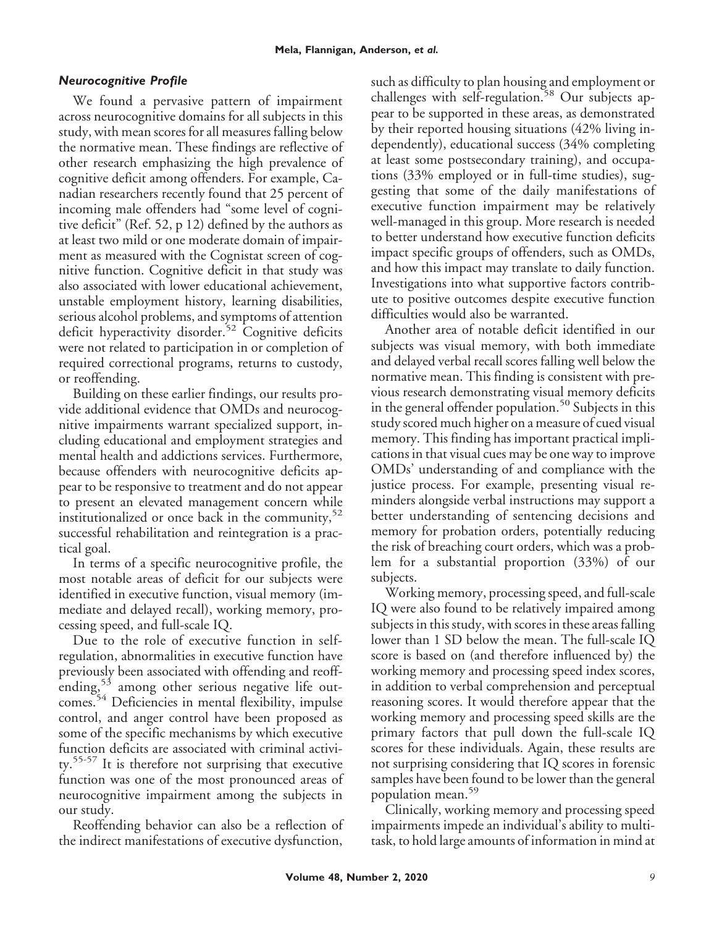## *Neurocognitive Profile*

We found a pervasive pattern of impairment across neurocognitive domains for all subjects in this study, with mean scores for all measures falling below the normative mean. These findings are reflective of other research emphasizing the high prevalence of cognitive deficit among offenders. For example, Canadian researchers recently found that 25 percent of incoming male offenders had "some level of cognitive deficit" (Ref. 52, p 12) defined by the authors as at least two mild or one moderate domain of impairment as measured with the Cognistat screen of cognitive function. Cognitive deficit in that study was also associated with lower educational achievement, unstable employment history, learning disabilities, serious alcohol problems, and symptoms of attention deficit hyperactivity disorder.<sup>52</sup> Cognitive deficits were not related to participation in or completion of required correctional programs, returns to custody, or reoffending.

Building on these earlier findings, our results provide additional evidence that OMDs and neurocognitive impairments warrant specialized support, including educational and employment strategies and mental health and addictions services. Furthermore, because offenders with neurocognitive deficits appear to be responsive to treatment and do not appear to present an elevated management concern while institutionalized or once back in the community,  $52$ successful rehabilitation and reintegration is a practical goal.

In terms of a specific neurocognitive profile, the most notable areas of deficit for our subjects were identified in executive function, visual memory (immediate and delayed recall), working memory, processing speed, and full-scale IQ.

Due to the role of executive function in selfregulation, abnormalities in executive function have previously been associated with offending and reoffending,  $5<sup>3</sup>$  among other serious negative life outcomes.<sup>54</sup> Deficiencies in mental flexibility, impulse control, and anger control have been proposed as some of the specific mechanisms by which executive function deficits are associated with criminal activity.55-57 It is therefore not surprising that executive function was one of the most pronounced areas of neurocognitive impairment among the subjects in our study.

Reoffending behavior can also be a reflection of the indirect manifestations of executive dysfunction,

such as difficulty to plan housing and employment or challenges with self-regulation.<sup>58</sup> Our subjects appear to be supported in these areas, as demonstrated by their reported housing situations (42% living independently), educational success (34% completing at least some postsecondary training), and occupations (33% employed or in full-time studies), suggesting that some of the daily manifestations of executive function impairment may be relatively well-managed in this group. More research is needed to better understand how executive function deficits impact specific groups of offenders, such as OMDs, and how this impact may translate to daily function. Investigations into what supportive factors contribute to positive outcomes despite executive function difficulties would also be warranted.

Another area of notable deficit identified in our subjects was visual memory, with both immediate and delayed verbal recall scores falling well below the normative mean. This finding is consistent with previous research demonstrating visual memory deficits in the general offender population.<sup>50</sup> Subjects in this study scored much higher on a measure of cued visual memory. This finding has important practical implications in that visual cues may be one way to improve OMDs' understanding of and compliance with the justice process. For example, presenting visual reminders alongside verbal instructions may support a better understanding of sentencing decisions and memory for probation orders, potentially reducing the risk of breaching court orders, which was a problem for a substantial proportion (33%) of our subjects.

Working memory, processing speed, and full-scale IQ were also found to be relatively impaired among subjects in this study, with scores in these areas falling lower than 1 SD below the mean. The full-scale IQ score is based on (and therefore influenced by) the working memory and processing speed index scores, in addition to verbal comprehension and perceptual reasoning scores. It would therefore appear that the working memory and processing speed skills are the primary factors that pull down the full-scale IQ scores for these individuals. Again, these results are not surprising considering that IQ scores in forensic samples have been found to be lower than the general population mean.<sup>59</sup>

Clinically, working memory and processing speed impairments impede an individual's ability to multitask, to hold large amounts of information in mind at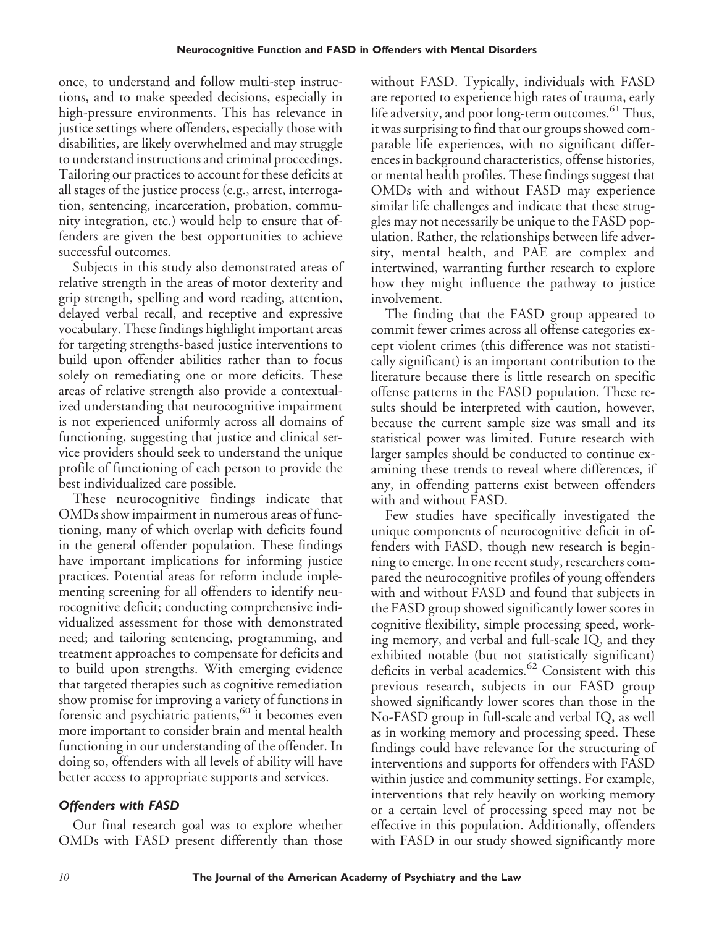once, to understand and follow multi-step instructions, and to make speeded decisions, especially in high-pressure environments. This has relevance in justice settings where offenders, especially those with disabilities, are likely overwhelmed and may struggle to understand instructions and criminal proceedings. Tailoring our practices to account for these deficits at all stages of the justice process (e.g., arrest, interrogation, sentencing, incarceration, probation, community integration, etc.) would help to ensure that offenders are given the best opportunities to achieve successful outcomes.

Subjects in this study also demonstrated areas of relative strength in the areas of motor dexterity and grip strength, spelling and word reading, attention, delayed verbal recall, and receptive and expressive vocabulary. These findings highlight important areas for targeting strengths-based justice interventions to build upon offender abilities rather than to focus solely on remediating one or more deficits. These areas of relative strength also provide a contextualized understanding that neurocognitive impairment is not experienced uniformly across all domains of functioning, suggesting that justice and clinical service providers should seek to understand the unique profile of functioning of each person to provide the best individualized care possible.

These neurocognitive findings indicate that OMDs show impairment in numerous areas of functioning, many of which overlap with deficits found in the general offender population. These findings have important implications for informing justice practices. Potential areas for reform include implementing screening for all offenders to identify neurocognitive deficit; conducting comprehensive individualized assessment for those with demonstrated need; and tailoring sentencing, programming, and treatment approaches to compensate for deficits and to build upon strengths. With emerging evidence that targeted therapies such as cognitive remediation show promise for improving a variety of functions in forensic and psychiatric patients,<sup>60</sup> it becomes even more important to consider brain and mental health functioning in our understanding of the offender. In doing so, offenders with all levels of ability will have better access to appropriate supports and services.

# *Offenders with FASD*

Our final research goal was to explore whether OMDs with FASD present differently than those without FASD. Typically, individuals with FASD are reported to experience high rates of trauma, early life adversity, and poor long-term outcomes.<sup>61</sup> Thus, it was surprising to find that our groups showed comparable life experiences, with no significant differences in background characteristics, offense histories, or mental health profiles. These findings suggest that OMDs with and without FASD may experience similar life challenges and indicate that these struggles may not necessarily be unique to the FASD population. Rather, the relationships between life adversity, mental health, and PAE are complex and intertwined, warranting further research to explore how they might influence the pathway to justice involvement.

The finding that the FASD group appeared to commit fewer crimes across all offense categories except violent crimes (this difference was not statistically significant) is an important contribution to the literature because there is little research on specific offense patterns in the FASD population. These results should be interpreted with caution, however, because the current sample size was small and its statistical power was limited. Future research with larger samples should be conducted to continue examining these trends to reveal where differences, if any, in offending patterns exist between offenders with and without FASD.

Few studies have specifically investigated the unique components of neurocognitive deficit in offenders with FASD, though new research is beginning to emerge. In one recent study, researchers compared the neurocognitive profiles of young offenders with and without FASD and found that subjects in the FASD group showed significantly lower scores in cognitive flexibility, simple processing speed, working memory, and verbal and full-scale IQ, and they exhibited notable (but not statistically significant) deficits in verbal academics.<sup>62</sup> Consistent with this previous research, subjects in our FASD group showed significantly lower scores than those in the No-FASD group in full-scale and verbal IQ, as well as in working memory and processing speed. These findings could have relevance for the structuring of interventions and supports for offenders with FASD within justice and community settings. For example, interventions that rely heavily on working memory or a certain level of processing speed may not be effective in this population. Additionally, offenders with FASD in our study showed significantly more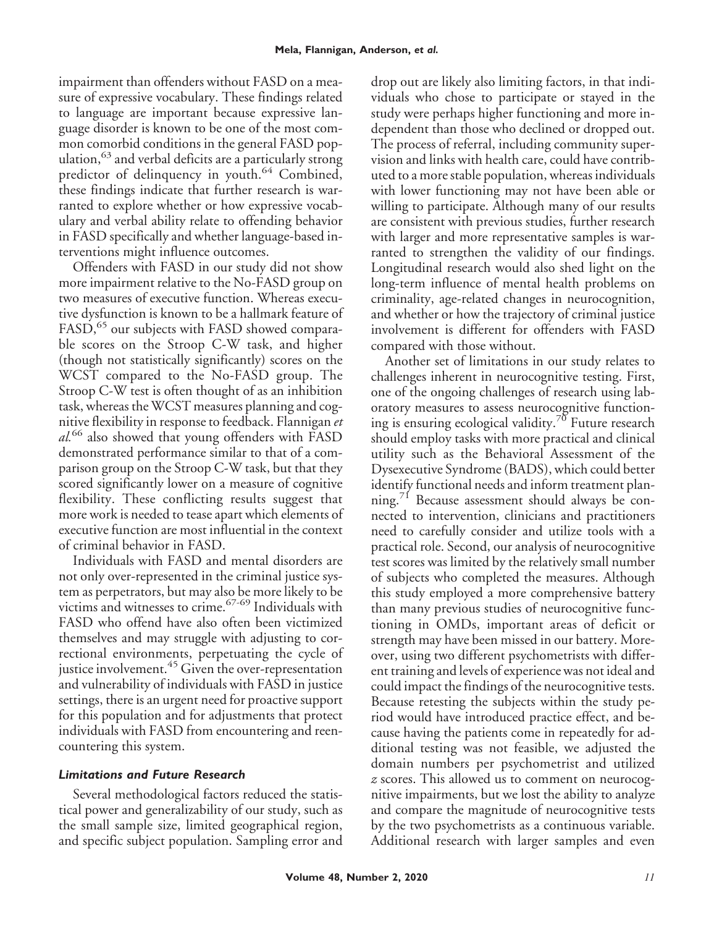impairment than offenders without FASD on a measure of expressive vocabulary. These findings related to language are important because expressive language disorder is known to be one of the most common comorbid conditions in the general FASD population, <sup>63</sup> and verbal deficits are a particularly strong predictor of delinquency in youth.<sup>64</sup> Combined, these findings indicate that further research is warranted to explore whether or how expressive vocabulary and verbal ability relate to offending behavior in FASD specifically and whether language-based interventions might influence outcomes.

Offenders with FASD in our study did not show more impairment relative to the No-FASD group on two measures of executive function. Whereas executive dysfunction is known to be a hallmark feature of FASD,<sup>65</sup> our subjects with FASD showed comparable scores on the Stroop C-W task, and higher (though not statistically significantly) scores on the WCST compared to the No-FASD group. The Stroop C-W test is often thought of as an inhibition task, whereas the WCST measures planning and cognitive flexibility in response to feedback. Flannigan *et al.*<sup>66</sup> also showed that young offenders with FASD demonstrated performance similar to that of a comparison group on the Stroop C-W task, but that they scored significantly lower on a measure of cognitive flexibility. These conflicting results suggest that more work is needed to tease apart which elements of executive function are most influential in the context of criminal behavior in FASD.

Individuals with FASD and mental disorders are not only over-represented in the criminal justice system as perpetrators, but may also be more likely to be victims and witnesses to crime.67-69 Individuals with FASD who offend have also often been victimized themselves and may struggle with adjusting to correctional environments, perpetuating the cycle of justice involvement.<sup>45</sup> Given the over-representation and vulnerability of individuals with FASD in justice settings, there is an urgent need for proactive support for this population and for adjustments that protect individuals with FASD from encountering and reencountering this system.

# *Limitations and Future Research*

Several methodological factors reduced the statistical power and generalizability of our study, such as the small sample size, limited geographical region, and specific subject population. Sampling error and

drop out are likely also limiting factors, in that individuals who chose to participate or stayed in the study were perhaps higher functioning and more independent than those who declined or dropped out. The process of referral, including community supervision and links with health care, could have contributed to a more stable population, whereas individuals with lower functioning may not have been able or willing to participate. Although many of our results are consistent with previous studies, further research with larger and more representative samples is warranted to strengthen the validity of our findings. Longitudinal research would also shed light on the long-term influence of mental health problems on criminality, age-related changes in neurocognition, and whether or how the trajectory of criminal justice involvement is different for offenders with FASD compared with those without.

Another set of limitations in our study relates to challenges inherent in neurocognitive testing. First, one of the ongoing challenges of research using laboratory measures to assess neurocognitive functioning is ensuring ecological validity.<sup>70</sup> Future research should employ tasks with more practical and clinical utility such as the Behavioral Assessment of the Dysexecutive Syndrome (BADS), which could better identify functional needs and inform treatment planning.<sup>71</sup> Because assessment should always be connected to intervention, clinicians and practitioners need to carefully consider and utilize tools with a practical role. Second, our analysis of neurocognitive test scores was limited by the relatively small number of subjects who completed the measures. Although this study employed a more comprehensive battery than many previous studies of neurocognitive functioning in OMDs, important areas of deficit or strength may have been missed in our battery. Moreover, using two different psychometrists with different training and levels of experience was not ideal and could impact the findings of the neurocognitive tests. Because retesting the subjects within the study period would have introduced practice effect, and because having the patients come in repeatedly for additional testing was not feasible, we adjusted the domain numbers per psychometrist and utilized *z* scores. This allowed us to comment on neurocognitive impairments, but we lost the ability to analyze and compare the magnitude of neurocognitive tests by the two psychometrists as a continuous variable. Additional research with larger samples and even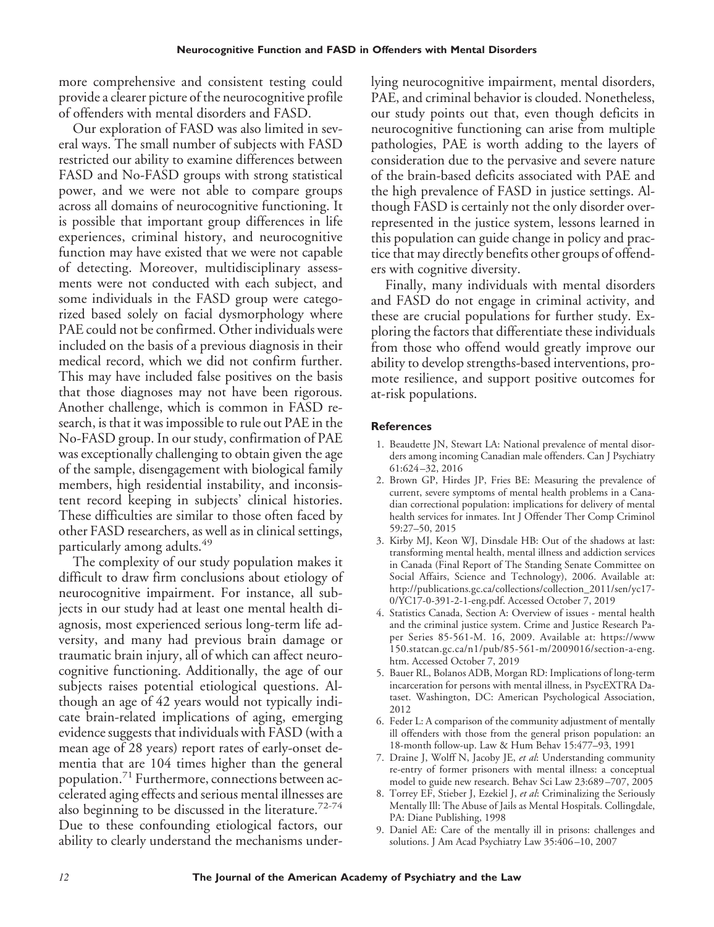more comprehensive and consistent testing could provide a clearer picture of the neurocognitive profile of offenders with mental disorders and FASD.

Our exploration of FASD was also limited in several ways. The small number of subjects with FASD restricted our ability to examine differences between FASD and No-FASD groups with strong statistical power, and we were not able to compare groups across all domains of neurocognitive functioning. It is possible that important group differences in life experiences, criminal history, and neurocognitive function may have existed that we were not capable of detecting. Moreover, multidisciplinary assessments were not conducted with each subject, and some individuals in the FASD group were categorized based solely on facial dysmorphology where PAE could not be confirmed. Other individuals were included on the basis of a previous diagnosis in their medical record, which we did not confirm further. This may have included false positives on the basis that those diagnoses may not have been rigorous. Another challenge, which is common in FASD research, is that it was impossible to rule out PAE in the No-FASD group. In our study, confirmation of PAE was exceptionally challenging to obtain given the age of the sample, disengagement with biological family members, high residential instability, and inconsistent record keeping in subjects' clinical histories. These difficulties are similar to those often faced by other FASD researchers, as well as in clinical settings, particularly among adults.<sup>49</sup>

The complexity of our study population makes it difficult to draw firm conclusions about etiology of neurocognitive impairment. For instance, all subjects in our study had at least one mental health diagnosis, most experienced serious long-term life adversity, and many had previous brain damage or traumatic brain injury, all of which can affect neurocognitive functioning. Additionally, the age of our subjects raises potential etiological questions. Although an age of 42 years would not typically indicate brain-related implications of aging, emerging evidence suggests that individuals with FASD (with a mean age of 28 years) report rates of early-onset dementia that are 104 times higher than the general population.<sup>71</sup> Furthermore, connections between accelerated aging effects and serious mental illnesses are also beginning to be discussed in the literature.<sup>72-74</sup> Due to these confounding etiological factors, our ability to clearly understand the mechanisms underlying neurocognitive impairment, mental disorders, PAE, and criminal behavior is clouded. Nonetheless, our study points out that, even though deficits in neurocognitive functioning can arise from multiple pathologies, PAE is worth adding to the layers of consideration due to the pervasive and severe nature of the brain-based deficits associated with PAE and the high prevalence of FASD in justice settings. Although FASD is certainly not the only disorder overrepresented in the justice system, lessons learned in this population can guide change in policy and practice that may directly benefits other groups of offenders with cognitive diversity.

Finally, many individuals with mental disorders and FASD do not engage in criminal activity, and these are crucial populations for further study. Exploring the factors that differentiate these individuals from those who offend would greatly improve our ability to develop strengths-based interventions, promote resilience, and support positive outcomes for at-risk populations.

#### **References**

- 1. Beaudette JN, Stewart LA: National prevalence of mental disorders among incoming Canadian male offenders. Can J Psychiatry 61:624 –32, 2016
- 2. Brown GP, Hirdes JP, Fries BE: Measuring the prevalence of current, severe symptoms of mental health problems in a Canadian correctional population: implications for delivery of mental health services for inmates. Int J Offender Ther Comp Criminol 59:27–50, 2015
- 3. Kirby MJ, Keon WJ, Dinsdale HB: Out of the shadows at last: transforming mental health, mental illness and addiction services in Canada (Final Report of The Standing Senate Committee on Social Affairs, Science and Technology), 2006. Available at: [http://publications.gc.ca/collections/collection\\_2011/sen/yc17-](http://publications.gc.ca/collections/collection_2011/sen/yc17-0/YC17-0-391-2-1-eng.pdf) [0/YC17-0-391-2-1-eng.pdf.](http://publications.gc.ca/collections/collection_2011/sen/yc17-0/YC17-0-391-2-1-eng.pdf) Accessed October 7, 2019
- 4. Statistics Canada, Section A: Overview of issues mental health and the criminal justice system. Crime and Justice Research Paper Series 85-561-M. 16, 2009. Available at: [https://www](https://www150.statcan.gc.ca/n1/pub/85-561-m/2009016/section-a-eng.htm) [150.statcan.gc.ca/n1/pub/85-561-m/2009016/section-a-eng.](https://www150.statcan.gc.ca/n1/pub/85-561-m/2009016/section-a-eng.htm) [htm.](https://www150.statcan.gc.ca/n1/pub/85-561-m/2009016/section-a-eng.htm) Accessed October 7, 2019
- 5. Bauer RL, Bolanos ADB, Morgan RD: Implications of long-term incarceration for persons with mental illness, in PsycEXTRA Dataset. Washington, DC: American Psychological Association, 2012
- 6. Feder L: A comparison of the community adjustment of mentally ill offenders with those from the general prison population: an 18-month follow-up. Law & Hum Behav 15:477–93, 1991
- 7. Draine J, Wolff N, Jacoby JE, *et al*: Understanding community re-entry of former prisoners with mental illness: a conceptual model to guide new research. Behav Sci Law 23:689 –707, 2005
- 8. Torrey EF, Stieber J, Ezekiel J, *et al*: Criminalizing the Seriously Mentally Ill: The Abuse of Jails as Mental Hospitals. Collingdale, PA: Diane Publishing, 1998
- 9. Daniel AE: Care of the mentally ill in prisons: challenges and solutions. J Am Acad Psychiatry Law 35:406 –10, 2007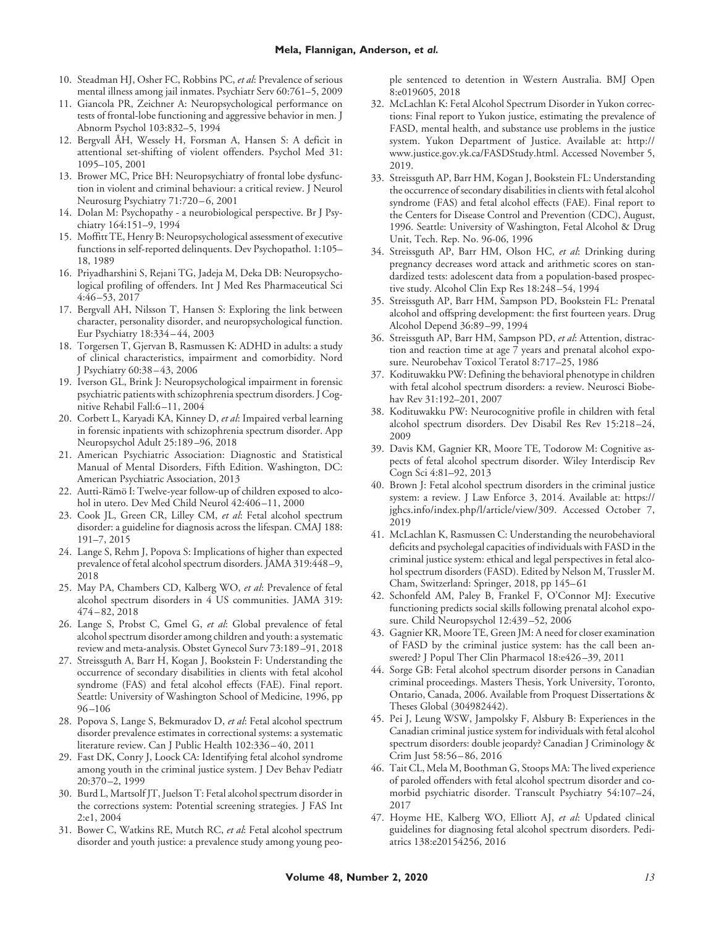- 10. Steadman HJ, Osher FC, Robbins PC, *et al*: Prevalence of serious mental illness among jail inmates. Psychiatr Serv 60:761–5, 2009
- 11. Giancola PR, Zeichner A: Neuropsychological performance on tests of frontal-lobe functioning and aggressive behavior in men. J Abnorm Psychol 103:832–5, 1994
- 12. Bergvall ÅH, Wessely H, Forsman A, Hansen S: A deficit in attentional set-shifting of violent offenders. Psychol Med 31: 1095–105, 2001
- 13. Brower MC, Price BH: Neuropsychiatry of frontal lobe dysfunction in violent and criminal behaviour: a critical review. J Neurol Neurosurg Psychiatry 71:720-6, 2001
- 14. Dolan M: Psychopathy a neurobiological perspective. Br J Psychiatry 164:151–9, 1994
- 15. Moffitt TE, Henry B: Neuropsychological assessment of executive functions in self-reported delinquents. Dev Psychopathol. 1:105– 18, 1989
- 16. Priyadharshini S, Rejani TG, Jadeja M, Deka DB: Neuropsychological profiling of offenders. Int J Med Res Pharmaceutical Sci 4:46 –53, 2017
- 17. Bergvall AH, Nilsson T, Hansen S: Exploring the link between character, personality disorder, and neuropsychological function. Eur Psychiatry 18:334 – 44, 2003
- 18. Torgersen T, Gjervan B, Rasmussen K: ADHD in adults: a study of clinical characteristics, impairment and comorbidity. Nord J Psychiatry 60:38 – 43, 2006
- 19. Iverson GL, Brink J: Neuropsychological impairment in forensic psychiatric patients with schizophrenia spectrum disorders. J Cognitive Rehabil Fall:6 –11, 2004
- 20. Corbett L, Karyadi KA, Kinney D, *et al*: Impaired verbal learning in forensic inpatients with schizophrenia spectrum disorder. App Neuropsychol Adult 25:189 –96, 2018
- 21. American Psychiatric Association: Diagnostic and Statistical Manual of Mental Disorders, Fifth Edition. Washington, DC: American Psychiatric Association, 2013
- 22. Autti-Rämö I: Twelve-year follow-up of children exposed to alcohol in utero. Dev Med Child Neurol 42:406-11, 2000
- 23. Cook JL, Green CR, Lilley CM, *et al*: Fetal alcohol spectrum disorder: a guideline for diagnosis across the lifespan. CMAJ 188: 191–7, 2015
- 24. Lange S, Rehm J, Popova S: Implications of higher than expected prevalence of fetal alcohol spectrum disorders. JAMA 319:448 –9, 2018
- 25. May PA, Chambers CD, Kalberg WO, *et al*: Prevalence of fetal alcohol spectrum disorders in 4 US communities. JAMA 319: 474 – 82, 2018
- 26. Lange S, Probst C, Gmel G, *et al*: Global prevalence of fetal alcohol spectrum disorder among children and youth: a systematic review and meta-analysis. Obstet Gynecol Surv 73:189 –91, 2018
- 27. Streissguth A, Barr H, Kogan J, Bookstein F: Understanding the occurrence of secondary disabilities in clients with fetal alcohol syndrome (FAS) and fetal alcohol effects (FAE). Final report. Seattle: University of Washington School of Medicine, 1996, pp 96 –106
- 28. Popova S, Lange S, Bekmuradov D, *et al*: Fetal alcohol spectrum disorder prevalence estimates in correctional systems: a systematic literature review. Can J Public Health 102:336 – 40, 2011
- 29. Fast DK, Conry J, Loock CA: Identifying fetal alcohol syndrome among youth in the criminal justice system. J Dev Behav Pediatr 20:370 –2, 1999
- 30. Burd L, Martsolf JT, Juelson T: Fetal alcohol spectrum disorder in the corrections system: Potential screening strategies. J FAS Int 2:e1, 2004
- 31. Bower C, Watkins RE, Mutch RC, *et al*: Fetal alcohol spectrum disorder and youth justice: a prevalence study among young peo-

ple sentenced to detention in Western Australia. BMJ Open 8:e019605, 2018

- 32. McLachlan K: Fetal Alcohol Spectrum Disorder in Yukon corrections: Final report to Yukon justice, estimating the prevalence of FASD, mental health, and substance use problems in the justice system. Yukon Department of Justice. Available at: [http://](http://www.justice.gov.yk.ca/FASDStudy.html) [www.justice.gov.yk.ca/FASDStudy.html.](http://www.justice.gov.yk.ca/FASDStudy.html) Accessed November 5, 2019.
- 33. Streissguth AP, Barr HM, Kogan J, Bookstein FL: Understanding the occurrence of secondary disabilities in clients with fetal alcohol syndrome (FAS) and fetal alcohol effects (FAE). Final report to the Centers for Disease Control and Prevention (CDC), August, 1996. Seattle: University of Washington, Fetal Alcohol & Drug Unit, Tech. Rep. No. 96-06, 1996
- 34. Streissguth AP, Barr HM, Olson HC, *et al*: Drinking during pregnancy decreases word attack and arithmetic scores on standardized tests: adolescent data from a population-based prospective study. Alcohol Clin Exp Res 18:248 –54, 1994
- 35. Streissguth AP, Barr HM, Sampson PD, Bookstein FL: Prenatal alcohol and offspring development: the first fourteen years. Drug Alcohol Depend 36:89 –99, 1994
- 36. Streissguth AP, Barr HM, Sampson PD, *et al*: Attention, distraction and reaction time at age 7 years and prenatal alcohol exposure. Neurobehav Toxicol Teratol 8:717–25, 1986
- 37. Kodituwakku PW: Defining the behavioral phenotype in children with fetal alcohol spectrum disorders: a review. Neurosci Biobehav Rev 31:192–201, 2007
- 38. Kodituwakku PW: Neurocognitive profile in children with fetal alcohol spectrum disorders. Dev Disabil Res Rev 15:218 –24, 2009
- 39. Davis KM, Gagnier KR, Moore TE, Todorow M: Cognitive aspects of fetal alcohol spectrum disorder. Wiley Interdiscip Rev Cogn Sci 4:81–92, 2013
- 40. Brown J: Fetal alcohol spectrum disorders in the criminal justice system: a review. J Law Enforce 3, 2014. Available at: [https://](https://jghcs.info/index.php/l/article/view/309) [jghcs.info/index.php/l/article/view/309.](https://jghcs.info/index.php/l/article/view/309) Accessed October 7, 2019
- 41. McLachlan K, Rasmussen C: Understanding the neurobehavioral deficits and psycholegal capacities of individuals with FASD in the criminal justice system: ethical and legal perspectives in fetal alcohol spectrum disorders (FASD). Edited by Nelson M, Trussler M. Cham, Switzerland: Springer, 2018, pp 145– 61
- 42. Schonfeld AM, Paley B, Frankel F, O'Connor MJ: Executive functioning predicts social skills following prenatal alcohol exposure. Child Neuropsychol 12:439 –52, 2006
- 43. Gagnier KR, Moore TE, Green JM: A need for closer examination of FASD by the criminal justice system: has the call been answered? J Popul Ther Clin Pharmacol 18:e426 –39, 2011
- 44. Sorge GB: Fetal alcohol spectrum disorder persons in Canadian criminal proceedings. Masters Thesis, York University, Toronto, Ontario, Canada, 2006. Available from Proquest Dissertations & Theses Global (304982442).
- 45. Pei J, Leung WSW, Jampolsky F, Alsbury B: Experiences in the Canadian criminal justice system for individuals with fetal alcohol spectrum disorders: double jeopardy? Canadian J Criminology & Crim Just 58:56 – 86, 2016
- 46. Tait CL, Mela M, Boothman G, Stoops MA: The lived experience of paroled offenders with fetal alcohol spectrum disorder and comorbid psychiatric disorder. Transcult Psychiatry 54:107–24, 2017
- 47. Hoyme HE, Kalberg WO, Elliott AJ, *et al*: Updated clinical guidelines for diagnosing fetal alcohol spectrum disorders. Pediatrics 138:e20154256, 2016